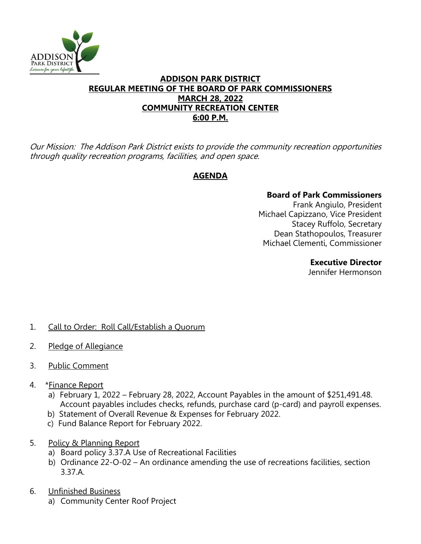

### **ADDISON PARK DISTRICT REGULAR MEETING OF THE BOARD OF PARK COMMISSIONERS MARCH 28, 2022 COMMUNITY RECREATION CENTER 6:00 P.M.**

Our Mission: The Addison Park District exists to provide the community recreation opportunities through quality recreation programs, facilities, and open space.

# **AGENDA**

### **Board of Park Commissioners**

Frank Angiulo, President Michael Capizzano, Vice President Stacey Ruffolo, Secretary Dean Stathopoulos, Treasurer Michael Clementi, Commissioner

### **Executive Director**

Jennifer Hermonson

# 1. Call to Order: Roll Call/Establish a Quorum

- 2. Pledge of Allegiance
- 3. Public Comment
- 4. \*Finance Report
	- a) February 1, 2022 February 28, 2022, Account Payables in the amount of \$251,491.48. Account payables includes checks, refunds, purchase card (p-card) and payroll expenses.
	- b) Statement of Overall Revenue & Expenses for February 2022.
	- c) Fund Balance Report for February 2022.
- 5. Policy & Planning Report
	- a) Board policy 3.37.A Use of Recreational Facilities
	- b) Ordinance 22-O-02 An ordinance amending the use of recreations facilities, section 3.37.A.
- 6. Unfinished Business
	- a) Community Center Roof Project